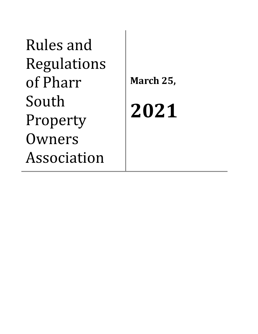Rules and Regulations of Pharr South Property Owners Association

**March 25,**

# **2021**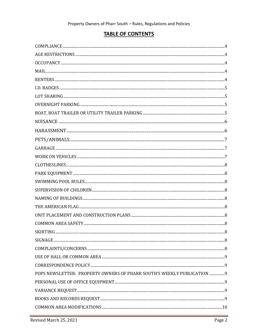# **TABLE OF CONTENTS**

| <b>SKIRTING</b>                                                         | 8 |
|-------------------------------------------------------------------------|---|
|                                                                         |   |
|                                                                         |   |
|                                                                         |   |
|                                                                         |   |
| POPS NEWSLETTER: PROPERTY OWNERS OF PHARR SOUTH'S WEEKLY PUBLICATION  9 |   |
|                                                                         |   |
|                                                                         |   |
|                                                                         |   |
|                                                                         |   |
|                                                                         |   |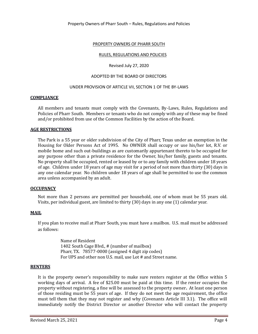## PROPERTY OWNERS OF PHARR SOUTH

## RULES, REGULATIONS AND POLICIES

Revised July 27, 2020

## ADOPTED BY THE BOARD OF DIRECTORS

## UNDER PROVISION OF ARTICLE VII, SECTION 1 OF THE BY-LAWS

## <span id="page-3-0"></span>**COMPLIANCE**

All members and tenants must comply with the Covenants, By-Laws, Rules, Regulations and Policies of Pharr South. Members or tenants who do not comply with any of these may be fined and/or prohibited from use of the Common Facilities by the action of the Board.

## <span id="page-3-1"></span>**AGE RESTRICTIONS**

The Park is a 55 year or older subdivision of the City of Pharr, Texas under an exemption in the Housing for Older Persons Act of 1995. No OWNER shall occupy or use his/her lot, R.V. or mobile home and such out-buildings as are customarily appurtenant thereto to be occupied for any purpose other than a private residence for the Owner, his/her family, guests and tenants. No property shall be occupied, rented or leased by or to any family with children under 18 years of age. Children under 18 years of age may visit for a period of not more than thirty (30) days in any one calendar year. No children under 18 years of age shall be permitted to use the common area unless accompanied by an adult.

## <span id="page-3-2"></span>**OCCUPANCY**

Not more than 2 persons are permitted per household, one of whom must be 55 years old. Visits, per individual guest, are limited to thirty (30) days in any one (1) calendar year.

## <span id="page-3-3"></span>**MAIL**

If you plan to receive mail at Pharr South, you must have a mailbox. U.S. mail must be addressed as follows:

> Name of Resident 1402 South Cage Blvd., # (number of mailbox) Pharr, TX. 78577-0000 (assigned 4 digit zip codes) For UPS and other non U.S. mail, use Lot # and Street name.

## <span id="page-3-4"></span>**RENTERS**

It is the property owner's responsibility to make sure renters register at the Office within 5 working days of arrival. A fee of \$25.00 must be paid at this time. If the renter occupies the property without registering, a fine will be assessed to the property owner**.** At least one person of those residing must be 55 years of age. If they do not meet the age requirement, the office must tell them that they may not register and why (Covenants Article III 3.1). The office will immediately notify the District Director or another Director who will contact the property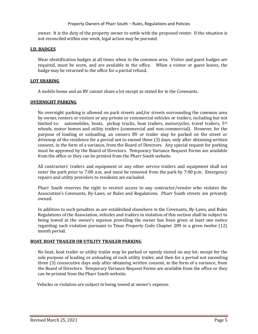owner. It is the duty of the property owner to settle with the proposed renter. If the situation is not reconciled within one week, legal action may be pursued.

## <span id="page-4-0"></span>**I.D. BADGES**

Wear identification badges at all times when in the common area. Visitor and guest badges are required, must be worn, and are available in the office.When a visitor or guest leaves, the badge may be returned to the office for a partial refund.

## <span id="page-4-1"></span>**LOT SHARING**

A mobile home and an RV cannot share a lot except as stated for in the Covenants.

## <span id="page-4-2"></span>**OVERNIGHT PARKING**

No overnight parking is allowed on park streets and**/**or streets surrounding the common area by owner, renters or visitors or any private or commercial vehicles or trailers, including but not limited to: automobiles, boats, pickup trucks, boat trailers, motorcycles, travel trailers,  $5<sup>th</sup>$ wheels, motor homes and utility trailers (commercial and non-commercial). However, for the purpose of loading or unloading, an owners RV or trailer may be parked on the street or driveway of the residence for a period not to exceed three (3) days, only after obtaining written consent, in the form of a variance, from the Board of Directors. Any special request for parking must be approved by the Board of Directors. Temporary Variance Request Forms are available from the office or they can be printed from the Pharr South website.

All contractors' trailers and equipment or any other service trailers and equipment shall not enter the park prior to 7:00 a.m. and must be removed from the park by 7:00 p.m. Emergency repairs and utility providers to residents are excluded.

Pharr South reserves the right to restrict access to any contractor/vendor who violates the Association's Covenants, By-Laws, or Rules and Regulations. Pharr South streets are privately owned.

In addition to such penalties as are established elsewhere in the Covenants, By-Laws, and Rules Regulations of the Association, vehicles and trailers in violation of this section shall be subject to being towed at the owner's expense providing the owner has been given at least one notice regarding such violation pursuant to Texas Property Code Chapter 209 in a given twelve (12) month period.

## <span id="page-4-3"></span>**BOAT, BOAT TRAILER OR UTILITY TRAILER PARKING**

No boat, boat trailer or utility trailer may be parked or openly stored on any lot; except for the sole purpose of loading or unloading of such utility trailer, and then for a period not exceeding three (3) consecutive days only after obtaining written consent, in the form of a variance, from the Board of Directors. Temporary Variance Request Forms are available from the office or they can be printed from the Pharr South website.

Vehicles in violation are subject to being towed at owner's expense.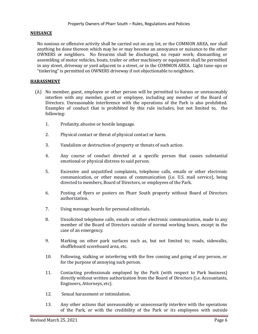## **NUISANCE**

No noxious or offensive activity shall be carried out on any lot, or the COMMON AREA, nor shall anything be done thereon which may be or may become an annoyance or nuisance to the other OWNERS or neighbors. No firearms shall be discharged, no repair work; dismantling or assembling of motor vehicles, boats, trailer or other machinery or equipment shall be permitted in any street, driveway or yard adjacent to a street, or in the COMMON AREA. Light tune-ups or "tinkering" is permitted on OWNERS driveway if not objectionable to neighbors.

## **HARASSMENT**

- (A) No member, guest, employee or other person will be permitted to harass or unreasonably interfere with any member, guest or employee, including any member of the Board of Directors. Unreasonable interference with the operations of the Park is also prohibited. Examples of conduct that is prohibited by this rule includes, but not limited to, the following:
	- 1. Profanity, abusive or hostile language.
	- 2. Physical contact or threat of physical contact or harm.
	- 3. Vandalism or destruction of property or threats of such action.
	- 4. Any course of conduct directed at a specific person that causes substantial emotional or physical distress to said person.
	- 5. Excessive and unjustified complaints, telephone calls, emails or other electronic communication, or other means of communication (i.e. U.S. mail service), being directed to members, Board of Directors, or employees of the Park.
	- 6. Posting of flyers or posters on Pharr South property without Board of Directors authorization.
	- 7. Using message boards for personal editorials.
	- 8. Unsolicited telephone calls, emails or other electronic communication, made to any member of the Board of Directors outside of normal working hours, except in the case of an emergency.
	- 9. Marking on other park surfaces such as, but not limited to; roads, sidewalks, shuffleboard scoreboard area, etc.
	- 10. Following, stalking or interfering with the free coming and going of any person, or for the purpose of annoying such person.
	- 11. Contacting professionals employed by the Park (with respect to Park business) directly without written authorization from the Board of Directors (i.e. Accountants, Engineers, Attorneys, etc).
	- 12. Sexual harassment or intimidation.
	- 13. Any other actions that unreasonably or unnecessarily interfere with the operations of the Park, or with the credibility of the Park or its employees with outside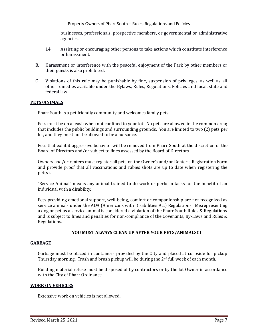businesses, professionals, prospective members, or governmental or administrative agencies.

- 14. Assisting or encouraging other persons to take actions which constitute interference or harassment.
- B. Harassment or interference with the peaceful enjoyment of the Park by other members or their guests is also prohibited.
- C. Violations of this rule may be punishable by fine, suspension of privileges, as well as all other remedies available under the Bylaws, Rules, Regulations, Policies and local, state and federal law.

## **PETS/ANIMALS**

Pharr South is a pet friendly community and welcomes family pets.

Pets must be on a leash when not confined to your lot. No pets are allowed in the common area; that includes the public buildings and surrounding grounds. You are limited to two (2) pets per lot, and they must not be allowed to be a nuisance.

Pets that exhibit aggressive behavior will be removed from Pharr South at the discretion of the Board of Directors and/or subject to fines assessed by the Board of Directors.

Owners and/or renters must register all pets on the Owner's and/or Renter's Registration Form and provide proof that all vaccinations and rabies shots are up to date when registering the pet(s).

"Service Animal" means any animal trained to do work or perform tasks for the benefit of an individual with a disability.

Pets providing emotional support, well-being, comfort or companionship are not recognized as service animals under the ADA (Americans with Disabilities Act) Regulations. Misrepresenting a dog or pet as a service animal is considered a violation of the Pharr South Rules & Regulations and is subject to fines and penalties for non-compliance of the Covenants, By-Laws and Rules & Regulations.

## **YOU MUST ALWAYS CLEAN UP AFTER YOUR PETS/ANIMALS!!!**

## <span id="page-6-0"></span>**GARBAGE**

Garbage must be placed in containers provided by the City and placed at curbside for pickup Thursday morning. Trash and brush pickup will be during the  $2<sup>nd</sup>$  full week of each month.

Building material refuse must be disposed of by contractors or by the lot Owner in accordance with the City of Pharr Ordinance.

## <span id="page-6-1"></span>**WORK ON VEHICLES**

Extensive work on vehicles is not allowed.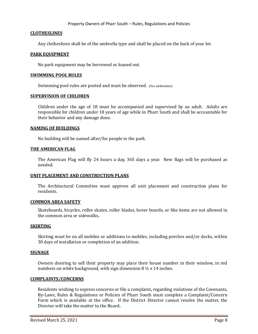## **CLOTHESLINES**

Any clotheslines shall be of the umbrella type and shall be placed on the back of your lot.

## <span id="page-7-0"></span>**PARK EQUIPMENT**

No park equipment may be borrowed or loaned out.

## <span id="page-7-1"></span>**SWIMMING POOL RULES**

Swimming pool rules are posted and must be observed. (See addendum)

## <span id="page-7-2"></span>**SUPERVISION OF CHILDREN**

Children under the age of 18 must be accompanied and supervised by an adult. Adults are responsible for children under 18 years of age while in Pharr South and shall be accountable for their behavior and any damage done.

## <span id="page-7-3"></span>**NAMING OF BUILDINGS**

No building will be named after/for people in the park.

## <span id="page-7-4"></span>**THE AMERICAN FLAG**

The American Flag will fly 24 hours a day, 365 days a year. New flags will be purchased as needed.

## <span id="page-7-5"></span>**UNIT PLACEMENT AND CONSTRUCTION PLANS**

The Architectural Committee must approve all unit placement and construction plans for residents.

## <span id="page-7-6"></span>**COMMON AREA SAFETY**

Skateboards, bicycles, roller skates, roller blades, hover boards, or like items are not allowed in the common area or sidewalks**.** 

#### <span id="page-7-7"></span>**SKIRTING**

Skirting must be on all mobiles or additions to mobiles, including porches and/or decks, within 30 days of installation or completion of an addition.

#### <span id="page-7-8"></span>**SIGNAGE**

Owners desiring to sell their property may place their house number in their window, in red numbers on white background, with sign dimension  $8\frac{1}{2} \times 14$  inches.

## <span id="page-7-9"></span>**COMPLAINTS/CONCERNS**

Residents wishing to express concerns or file a complaint**,** regarding violations of the Covenants, By-Laws, Rules & Regulations or Policies of Pharr South must complete a Complaint/Concern Form which is available at the office. If the District Director cannot resolve the matter, the Director will take the matter to the Board**.**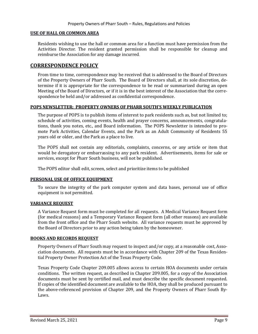## <span id="page-8-0"></span>**USE OF HALL OR COMMON AREA**

Residents wishing to use the hall or common area for a function must have permission from the Activities Director. The resident granted permission shall be responsible for cleanup and reimburse the Association for any damage incurred.

## <span id="page-8-1"></span>**CORRESPONDENCE POLICY**

From time to time, correspondence may be received that is addressed to the Board of Directors of the Property Owners of Pharr South. The Board of Directors shall, at its sole discretion, determine if it is appropriate for the correspondence to be read or summarized during an open Meeting of the Board of Directors, or if it is in the best interest of the Association that the correspondence be held and/or addressed as confidential correspondence.

## <span id="page-8-2"></span>**POPS NEWSLETTER: PROPERTY OWNERS OF PHARR SOUTH'S WEEKLY PUBLICATION**

The purpose of POPS is to publish items of interest to park residents such as, but not limited to; schedule of activities, coming events, health and prayer concerns, announcements, congratulations, thank you notes, etc., and Board information. The POPS Newsletter is intended to promote Park Activities, Calendar Events, and the Park as an Adult Community of Residents 55 years old or older, and the Park as a place to live.

The POPS shall not contain any editorials, complaints, concerns, or any article or item that would be derogatory or embarrassing to any park resident. Advertisements, items for sale or services, except for Pharr South business, will not be published.

The POPS editor shall edit, screen, select and prioritize items to be published

## <span id="page-8-3"></span>**PERSONAL USE OF OFFICE EQUIPMENT**

To secure the integrity of the park computer system and data bases, personal use of office equipment is not permitted.

## <span id="page-8-4"></span>**VARIANCE REQUEST**

A Variance Request form must be completed for all requests. A Medical Variance Request form (for medical reasons) and a Temporary Variance Request form (all other reasons) are available from the front office and the Pharr South website. All variance requests must be approved by the Board of Directors prior to any action being taken by the homeowner.

## <span id="page-8-5"></span>**BOOKS AND RECORDS REQUEST**

Property Owners of Pharr South may request to inspect and/or copy, at a reasonable cost, Association documents. All requests must be in accordance with Chapter 209 of the Texas Residential Property Owner Protection Act of the Texas Property Code.

Texas Property Code Chapter 209.005 allows access to certain HOA documents under certain conditions. The written request, as described in Chapter 209.005, for a copy of the Association documents must be sent by certified mail, and must describe the specific document requested. If copies of the identified document are available to the HOA, they shall be produced pursuant to the above-referenced provision of Chapter 209, and the Property Owners of Pharr South By-Laws.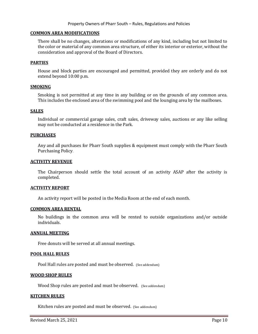## <span id="page-9-0"></span>**COMMON AREA MODIFICATIONS**

There shall be no changes, alterations or modifications of any kind, including but not limited to the color or material of any common area structure, of either its interior or exterior, without the consideration and approval of the Board of Directors.

## <span id="page-9-1"></span>**PARTIES**

House and block parties are encouraged and permitted, provided they are orderly and do not extend beyond 10:00 p.m.

## <span id="page-9-2"></span>**SMOKING**

Smoking is not permitted at any time in any building or on the grounds of any common area. This includes the enclosed area of the swimming pool and the lounging area by the mailboxes.

#### <span id="page-9-3"></span>**SALES**

Individual or commercial garage sales, craft sales, driveway sales, auctions or any like selling may not be conducted at a residence in the Park.

### <span id="page-9-4"></span>**PURCHASES**

Any and all purchases for Pharr South supplies & equipment must comply with the Pharr South Purchasing Policy.

#### <span id="page-9-5"></span>**ACTIVITY REVENUE**

The Chairperson should settle the total account of an activity ASAP after the activity is completed.

#### <span id="page-9-6"></span>**ACTIVITY REPORT**

An activity report will be posted in the Media Room at the end of each month.

## <span id="page-9-7"></span>**COMMON AREA RENTAL**

No buildings in the common area will be rented to outside organizations and/or outside individuals.

#### <span id="page-9-8"></span>**ANNUAL MEETING**

Free donuts will be served at all annual meetings.

#### <span id="page-9-9"></span>**POOL HALL RULES**

Pool Hall rules are posted and must be observed. (See addendum)

## <span id="page-9-10"></span>**WOOD SHOP RULES**

Wood Shop rules are posted and must be observed. (See addendum)

#### <span id="page-9-11"></span>**KITCHEN RULES**

Kitchen rules are posted and must be observed. (See addendum)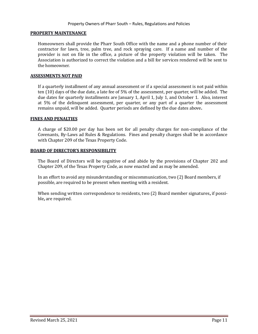## <span id="page-10-0"></span>**PROPERTY MAINTENANCE**

Homeowners shall provide the Pharr South Office with the name and a phone number of their contractor for lawn, tree, palm tree, and rock spraying care. If a name and number of the provider is not on file in the office, a picture of the property violation will be taken. The Association is authorized to correct the violation and a bill for services rendered will be sent to the homeowner.

## <span id="page-10-1"></span>**ASSESSMENTS NOT PAID**

If a quarterly installment of any annual assessment or if a special assessment is not paid within ten (10) days of the due date, a late fee of 5% of the assessment, per quarter, will be added. The due dates for quarterly installments are January 1, April 1, July 1, and October 1. Also, interest at 5% of the delinquent assessment, per quarter, or any part of a quarter the assessment remains unpaid, will be added. Quarter periods are defined by the due dates above**.** 

## <span id="page-10-2"></span>**FINES AND PENALTIES**

A charge of \$20.00 per day has been set for all penalty charges for non-compliance of the Covenants, By-Laws ad Rules & Regulations. Fines and penalty charges shall be in accordance with Chapter 209 of the Texas Property Code.

## <span id="page-10-3"></span>**BOARD OF DIRECTOR'S RESPONSIBILITY**

The Board of Directors will be cognitive of and abide by the provisions of Chapter 202 and Chapter 209, of the Texas Property Code, as now enacted and as may be amended.

In an effort to avoid any misunderstanding or miscommunication, two (2) Board members, if possible, are required to be present when meeting with a resident.

When sending written correspondence to residents, two (2) Board member signatures**,** if possible**,** are required.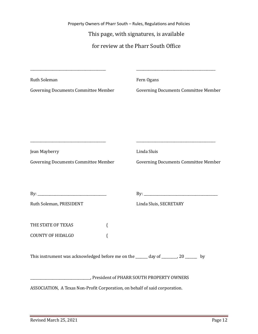This page, with signatures, is available

for review at the Pharr South Office

| Ruth Soleman                                |   | Fern Ogans                                                                               |
|---------------------------------------------|---|------------------------------------------------------------------------------------------|
| <b>Governing Documents Committee Member</b> |   | <b>Governing Documents Committee Member</b>                                              |
|                                             |   |                                                                                          |
|                                             |   |                                                                                          |
| Jean Mayberry                               |   | Linda Sluis                                                                              |
| <b>Governing Documents Committee Member</b> |   | <b>Governing Documents Committee Member</b>                                              |
|                                             |   |                                                                                          |
|                                             |   |                                                                                          |
| Ruth Soleman, PRESIDENT                     |   | Linda Sluis, SECRETARY                                                                   |
| THE STATE OF TEXAS                          | { |                                                                                          |
| <b>COUNTY OF HIDALGO</b>                    |   |                                                                                          |
|                                             |   | This instrument was acknowledged before me on the ______ day of _______, 20 ______<br>by |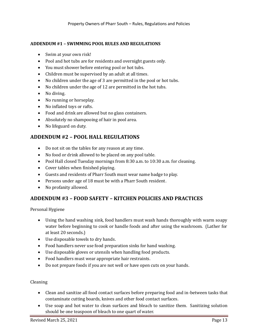## <span id="page-12-0"></span>**ADDENDUM #1 – SWIMMING POOL RULES AND REGULATIONS**

- Swim at your own risk!
- Pool and hot tubs are for residents and overnight guests only.
- You must shower before entering pool or hot tubs.
- Children must be supervised by an adult at all times.
- No children under the age of 3 are permitted in the pool or hot tubs.
- No children under the age of 12 are permitted in the hot tubs.
- No diving.
- No running or horseplay.
- No inflated toys or rafts.
- Food and drink are allowed but no glass containers.
- Absolutely no shampooing of hair in pool area.
- No lifeguard on duty.

# <span id="page-12-1"></span>**ADDENDUM #2 – POOL HALL REGULATIONS**

- Do not sit on the tables for any reason at any time.
- No food or drink allowed to be placed on any pool table.
- Pool Hall closed Tuesday mornings from 8:30 a.m. to 10:30 a.m. for cleaning.
- Cover tables when finished playing.
- Guests and residents of Pharr South must wear name badge to play.
- Persons under age of 18 must be with a Pharr South resident.
- No profanity allowed.

# <span id="page-12-2"></span>**ADDENDUM #3 – FOOD SAFETY – KITCHEN POLICIES AND PRACTICES**

Personal Hygiene

- Using the hand washing sink, food handlers must wash hands thoroughly with warm soapy water before beginning to cook or handle foods and after using the washroom. (Lather for at least 20 seconds.)
- Use disposable towels to dry hands.
- Food handlers never use food preparation sinks for hand washing.
- Use disposable gloves or utensils when handling food products.
- Food handlers must wear appropriate hair restraints.
- Do not prepare foods if you are not well or have open cuts on your hands.

## Cleaning

- Clean and sanitize all food contact surfaces before preparing food and in-between tasks that contaminate cutting boards, knives and other food contact surfaces.
- Use soap and hot water to clean surfaces and bleach to sanitize them. Sanitizing solution should be one teaspoon of bleach to one quart of water.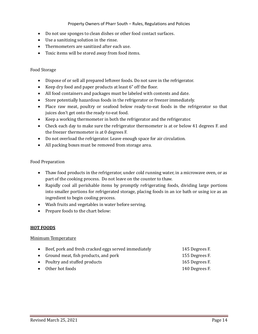- Do not use sponges to clean dishes or other food contact surfaces.
- Use a sanitizing solution in the rinse.
- Thermometers are sanitized after each use.
- Toxic items will be stored away from food items.

## Food Storage

- Dispose of or sell all prepared leftover foods. Do not save in the refrigerator.
- Keep dry food and paper products at least 6" off the floor.
- All food containers and packages must be labeled with contents and date.
- Store potentially hazardous foods in the refrigerator or freezer immediately.
- Place raw meat, poultry or seafood below ready-to-eat foods in the refrigerator so that juices don't get onto the ready-to-eat food.
- Keep a working thermometer in both the refrigerator and the refrigerator.
- Check each day to make sure the refrigerator thermometer is at or below 41 degrees F. and the freezer thermometer is at 0 degrees F.
- Do not overload the refrigerator. Leave enough space for air circulation.
- All packing boxes must be removed from storage area.

## Food Preparation

- Thaw food products in the refrigerator, under cold running water, in a microwave oven, or as part of the cooking process. Do not leave on the counter to thaw.
- Rapidly cool all perishable items by promptly refrigerating foods, dividing large portions into smaller portions for refrigerated storage, placing foods in an ice bath or using ice as an ingredient to begin cooling process.
- Wash fruits and vegetables in water before serving.
- Prepare foods to the chart below:

## **HOT FOODS**

## Minimum Temperature

| Beef, pork and fresh cracked eggs served immediately | 145 Degrees F. |
|------------------------------------------------------|----------------|
| • Ground meat, fish products, and pork               | 155 Degrees F. |

- Poultry and stuffed products 165 Degrees F.
- Other hot foods 140 Degrees F.

Revised March 25, 2021 **Page 14**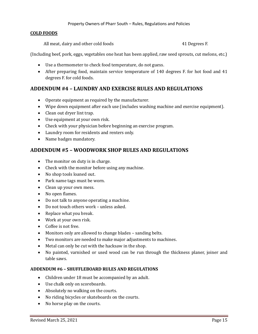## **COLD FOODS**

All meat, dairy and other cold foods 41 Degrees F.

(Including beef, pork, eggs, vegetables one heat has been applied, raw seed sprouts, cut melons, etc.)

- Use a thermometer to check food temperature, do not guess.
- After preparing food, maintain service temperature of 140 degrees F. for hot food and 41 degrees F. for cold foods.

# <span id="page-14-0"></span>**ADDENDUM #4 – LAUNDRY AND EXERCISE RULES AND REGULATIONS**

- Operate equipment as required by the manufacturer.
- Wipe down equipment after each use (includes washing machine and exercise equipment).
- Clean out dryer lint trap.
- Use equipment at your own risk.
- Check with your physician before beginning an exercise program.
- Laundry room for residents and renters only.
- Name badges mandatory.

# <span id="page-14-1"></span>**ADDENDUM #5 – WOODWORK SHOP RULES AND REGULATIONS**

- The monitor on duty is in charge.
- Check with the monitor before using any machine.
- No shop tools loaned out.
- Park name tags must be worn.
- Clean up your own mess.
- No open flames.
- Do not talk to anyone operating a machine.
- Do not touch others work unless asked.
- Replace what you break.
- Work at your own risk.
- Coffee is not free.
- Monitors only are allowed to change blades sanding belts.
- Two monitors are needed to make major adjustments to machines.
- Metal can only be cut with the hacksaw in the shop.
- No painted, varnished or used wood can be run through the thickness planer, joiner and table saws.

## <span id="page-14-2"></span>**ADDENDUM #6 – SHUFFLEBOARD RULES AND REGULATIONS**

- Children under 18 must be accompanied by an adult.
- Use chalk only on scoreboards.
- Absolutely no walking on the courts.
- No riding bicycles or skateboards on the courts.
- No horse play on the courts.